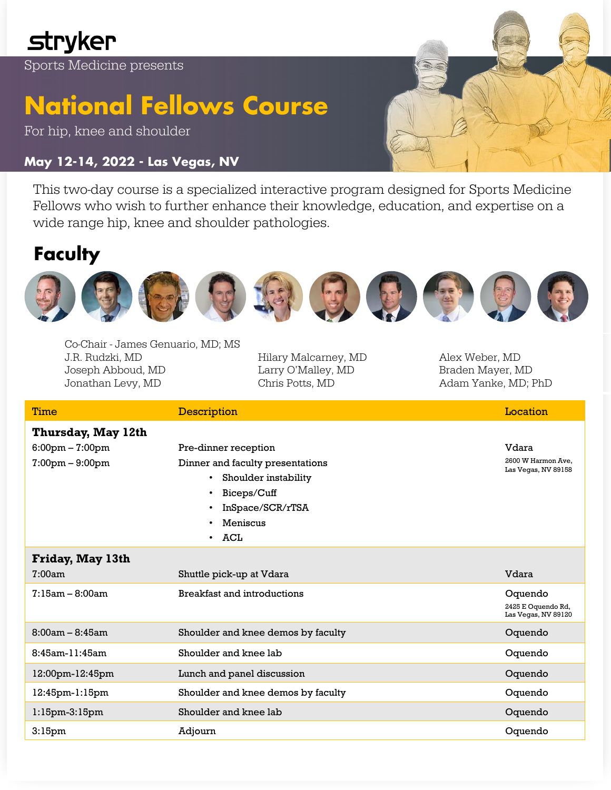**stryker** 

Sports Medicine presents

# **National Fellows Course**

For hip, knee and shoulder

#### **May 12-14, 2022 - Las Vegas, NV**

This two-day course is a specialized interactive program designed for Sports Medicine Fellows who wish to further enhance their knowledge, education, and expertise on a wide range hip, knee and shoulder pathologies.

### **Faculty**















Co-Chair - James Genuario, MD; MS J.R. Rudzki, MD Joseph Abboud, MD Jonathan Levy, MD

Hilary Malcarney, MD Larry O'Malley, MD Chris Potts, MD

Alex Weber, MD Braden Mayer, MD Adam Yanke, MD; PhD

| Time                      | <b>Description</b>                 | <b>Location</b>                                      |
|---------------------------|------------------------------------|------------------------------------------------------|
| <b>Thursday, May 12th</b> |                                    |                                                      |
| $6:00$ pm – $7:00$ pm     | Pre-dinner reception               | Vdara                                                |
| $7:00$ pm $-9:00$ pm      | Dinner and faculty presentations   | 2600 W Harmon Ave.<br>Las Vegas, NV 89158            |
|                           | Shoulder instability<br>$\bullet$  |                                                      |
|                           | Biceps/Cuff<br>$\bullet$           |                                                      |
|                           | InSpace/SCR/rTSA<br>$\bullet$      |                                                      |
|                           | Meniscus<br>$\bullet$              |                                                      |
|                           | ACL<br>$\bullet$                   |                                                      |
| Friday, May 13th          |                                    |                                                      |
|                           |                                    |                                                      |
| 7:00am                    | Shuttle pick-up at Vdara           | Vdara                                                |
| $7:15$ am $-8:00$ am      | <b>Breakfast and introductions</b> | Oquendo<br>2425 E Oquendo Rd,<br>Las Vegas, NV 89120 |
| $8:00am - 8:45am$         | Shoulder and knee demos by faculty | Oquendo                                              |
| 8:45am-11:45am            | Shoulder and knee lab              | Oquendo                                              |
| 12:00pm-12:45pm           | Lunch and panel discussion         | Oquendo                                              |
| 12:45pm-1:15pm            | Shoulder and knee demos by faculty | Oquendo                                              |
| $1:15$ pm- $3:15$ pm      | Shoulder and knee lab              | Oquendo                                              |